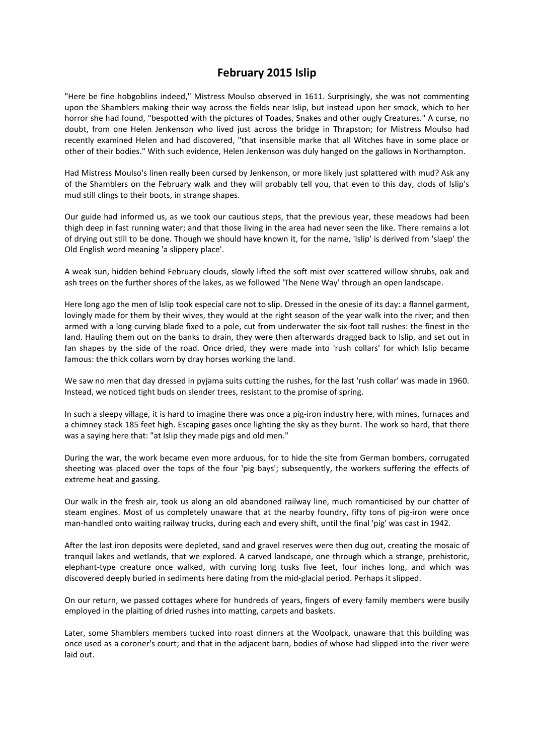## **February 2015 Islip**

"Here be fine hobgoblins indeed," Mistress Moulso observed in 1611. Surprisingly, she was not commenting upon the Shamblers making their way across the fields near Islip, but instead upon her smock, which to her horror she had found, "bespotted with the pictures of Toades, Snakes and other ougly Creatures." A curse, no doubt, from one Helen Jenkenson who lived just across the bridge in Thrapston; for Mistress Moulso had recently examined Helen and had discovered, "that insensible marke that all Witches have in some place or other of their bodies." With such evidence, Helen Jenkenson was duly hanged on the gallows in Northampton.

Had Mistress Moulso's linen really been cursed by Jenkenson, or more likely just splattered with mud? Ask any of the Shamblers on the February walk and they will probably tell you, that even to this day, clods of Islip's mud still clings to their boots, in strange shapes.

Our guide had informed us, as we took our cautious steps, that the previous year, these meadows had been thigh deep in fast running water; and that those living in the area had never seen the like. There remains a lot of drying out still to be done. Though we should have known it, for the name, 'Islip' is derived from 'slaep' the Old English word meaning 'a slippery place'.

A weak sun, hidden behind February clouds, slowly lifted the soft mist over scattered willow shrubs, oak and ash trees on the further shores of the lakes, as we followed 'The Nene Way' through an open landscape.

Here long ago the men of Islip took especial care not to slip. Dressed in the onesie of its day: a flannel garment, lovingly made for them by their wives, they would at the right season of the year walk into the river; and then armed with a long curving blade fixed to a pole, cut from underwater the six-foot tall rushes: the finest in the land. Hauling them out on the banks to drain, they were then afterwards dragged back to Islip, and set out in fan shapes by the side of the road. Once dried, they were made into 'rush collars' for which Islip became famous: the thick collars worn by dray horses working the land.

We saw no men that day dressed in pyjama suits cutting the rushes, for the last 'rush collar' was made in 1960. Instead, we noticed tight buds on slender trees, resistant to the promise of spring.

In such a sleepy village, it is hard to imagine there was once a pig-iron industry here, with mines, furnaces and a chimney stack 185 feet high. Escaping gases once lighting the sky as they burnt. The work so hard, that there was a saying here that: "at Islip they made pigs and old men."

During the war, the work became even more arduous, for to hide the site from German bombers, corrugated sheeting was placed over the tops of the four 'pig bays'; subsequently, the workers suffering the effects of extreme heat and gassing.

Our walk in the fresh air, took us along an old abandoned railway line, much romanticised by our chatter of steam engines. Most of us completely unaware that at the nearby foundry, fifty tons of pig-iron were once man-handled onto waiting railway trucks, during each and every shift, until the final 'pig' was cast in 1942.

After the last iron deposits were depleted, sand and gravel reserves were then dug out, creating the mosaic of tranquil lakes and wetlands, that we explored. A carved landscape, one through which a strange, prehistoric, elephant-type creature once walked, with curving long tusks five feet, four inches long, and which was discovered deeply buried in sediments here dating from the mid-glacial period. Perhaps it slipped.

On our return, we passed cottages where for hundreds of years, fingers of every family members were busily employed in the plaiting of dried rushes into matting, carpets and baskets.

Later, some Shamblers members tucked into roast dinners at the Woolpack, unaware that this building was once used as a coroner's court; and that in the adjacent barn, bodies of whose had slipped into the river were laid out.